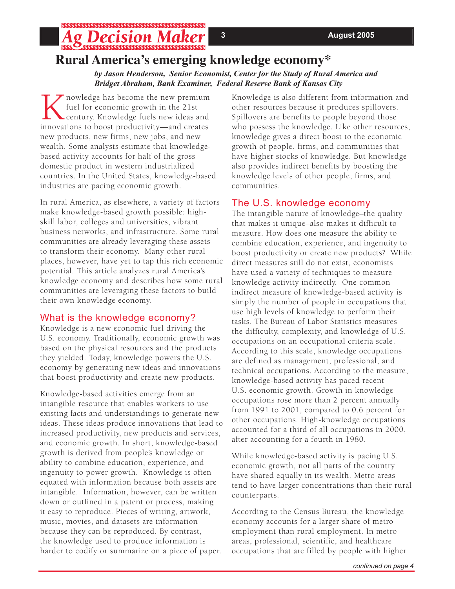## Pecision M **Rural America's emerging knowledge economy\***

*by Jason Henderson, Senior Economist, Center for the Study of Rural America and Bridget Abraham, Bank Examiner, Federal Reserve Bank of Kansas City*

Thowledge has become the new premium fuel for economic growth in the 21st century. Knowledge fuels new ideas and innovations to boost productivity—and creates new products, new firms, new jobs, and new wealth. Some analysts estimate that knowledgebased activity accounts for half of the gross domestic product in western industrialized countries. In the United States, knowledge-based industries are pacing economic growth.

In rural America, as elsewhere, a variety of factors make knowledge-based growth possible: highskill labor, colleges and universities, vibrant business networks, and infrastructure. Some rural communities are already leveraging these assets to transform their economy. Many other rural places, however, have yet to tap this rich economic potential. This article analyzes rural America's knowledge economy and describes how some rural communities are leveraging these factors to build their own knowledge economy.

### What is the knowledge economy?

Knowledge is a new economic fuel driving the U.S. economy. Traditionally, economic growth was based on the physical resources and the products they yielded. Today, knowledge powers the U.S. economy by generating new ideas and innovations that boost productivity and create new products.

Knowledge-based activities emerge from an intangible resource that enables workers to use existing facts and understandings to generate new ideas. These ideas produce innovations that lead to increased productivity, new products and services, and economic growth. In short, knowledge-based growth is derived from people's knowledge or ability to combine education, experience, and ingenuity to power growth. Knowledge is often equated with information because both assets are intangible. Information, however, can be written down or outlined in a patent or process, making it easy to reproduce. Pieces of writing, artwork, music, movies, and datasets are information because they can be reproduced. By contrast, the knowledge used to produce information is harder to codify or summarize on a piece of paper.

Knowledge is also different from information and other resources because it produces spillovers. Spillovers are benefits to people beyond those who possess the knowledge. Like other resources, knowledge gives a direct boost to the economic growth of people, firms, and communities that have higher stocks of knowledge. But knowledge also provides indirect benefits by boosting the knowledge levels of other people, firms, and communities.

## The U.S. knowledge economy

The intangible nature of knowledge–the quality that makes it unique–also makes it difficult to measure. How does one measure the ability to combine education, experience, and ingenuity to boost productivity or create new products? While direct measures still do not exist, economists have used a variety of techniques to measure knowledge activity indirectly. One common indirect measure of knowledge-based activity is simply the number of people in occupations that use high levels of knowledge to perform their tasks. The Bureau of Labor Statistics measures the difficulty, complexity, and knowledge of U.S. occupations on an occupational criteria scale. According to this scale, knowledge occupations are defined as management, professional, and technical occupations. According to the measure, knowledge-based activity has paced recent U.S. economic growth. Growth in knowledge occupations rose more than 2 percent annually from 1991 to 2001, compared to 0.6 percent for other occupations. High-knowledge occupations accounted for a third of all occupations in 2000, after accounting for a fourth in 1980.

While knowledge-based activity is pacing U.S. economic growth, not all parts of the country have shared equally in its wealth. Metro areas tend to have larger concentrations than their rural counterparts.

According to the Census Bureau, the knowledge economy accounts for a larger share of metro employment than rural employment. In metro areas, professional, scientific, and healthcare occupations that are filled by people with higher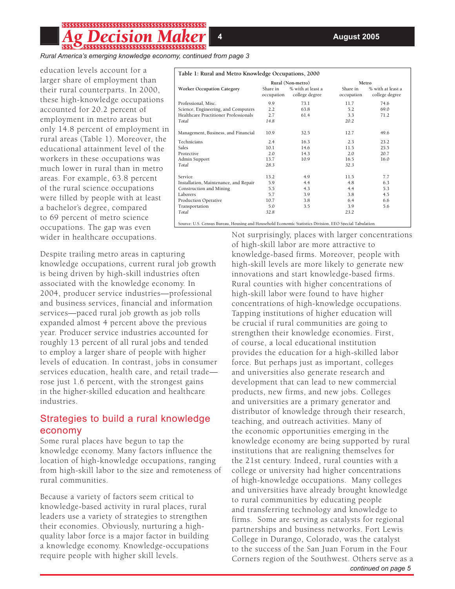# \$\$\$\$\$\$\$\$\$\$\$\$\$\$\$\$\$\$\$\$\$\$\$\$\$\$\$\$\$\$\$\$\$\$\$\$

*Rural America's emerging knowledge economy, continued from page 3*

education levels account for a larger share of employment than their rural counterparts. In 2000, these high-knowledge occupations accounted for 20.2 percent of employment in metro areas but only 14.8 percent of employment in rural areas (Table 1). Moreover, the educational attainment level of the workers in these occupations was much lower in rural than in metro areas. For example, 63.8 percent of the rural science occupations were filled by people with at least a bachelor's degree, compared to 69 percent of metro science occupations. The gap was even wider in healthcare occupations.

Despite trailing metro areas in capturing knowledge occupations, current rural job growth is being driven by high-skill industries often associated with the knowledge economy. In 2004, producer service industries—professional and business services, financial and information services—paced rural job growth as job rolls expanded almost 4 percent above the previous year. Producer service industries accounted for roughly 13 percent of all rural jobs and tended to employ a larger share of people with higher levels of education. In contrast, jobs in consumer services education, health care, and retail trade rose just 1.6 percent, with the strongest gains in the higher-skilled education and healthcare industries.

#### Strategies to build a rural knowledge economy

Some rural places have begun to tap the knowledge economy. Many factors influence the location of high-knowledge occupations, ranging from high-skill labor to the size and remoteness of rural communities.

Because a variety of factors seem critical to knowledge-based activity in rural places, rural leaders use a variety of strategies to strengthen their economies. Obviously, nurturing a highquality labor force is a major factor in building a knowledge economy. Knowledge-occupations require people with higher skill levels.

| Table 1: Rural and Metro Knowledge Occupations, 2000 |                        |                                     |                        |                                     |
|------------------------------------------------------|------------------------|-------------------------------------|------------------------|-------------------------------------|
|                                                      | Rural (Non-metro)      |                                     | Metro                  |                                     |
| <b>Worker Occupation Category</b>                    | Share in<br>occupation | % with at least a<br>college degree | Share in<br>occupation | % with at least a<br>college degree |
| Professional, Misc.                                  | 9.9                    | 73.1                                | 11.7                   | 74.6                                |
| Science, Engineering, and Computers                  | 2.2                    | 63.8                                | 5.2                    | 69.0                                |
| Healthcare Practitioner Professionals                | 2.7                    | 61.4                                | 3.3                    | 71.2                                |
| Total                                                | 14.8                   |                                     | 20.2                   |                                     |
| Management, Business, and Financial                  | 10.9                   | 32.5                                | 12.7                   | 49.6                                |
| Technicians                                          | 2.4                    | 16.3                                | 2.3                    | 23.2                                |
| Sales                                                | 10.1                   | 14.6                                | 11.5                   | 25.5                                |
| Protective                                           | 2.0                    | 14.3                                | 2.0                    | 20.7                                |
| Admin Support                                        | 13.7                   | 10.9                                | 16.5                   | 16.0                                |
| Total                                                | 28.3                   |                                     | 32.3                   |                                     |
| Service                                              | 13.2                   | 4.9                                 | 11.5                   | 7.7                                 |
| Installation, Maintenance, and Repair                | 5.9                    | 4.4                                 | 4.8                    | 6.3                                 |
| Construction and Mining                              | 5.5                    | 4.3                                 | 4.4                    | 5.3                                 |
| <b>Laborers</b>                                      | 5.7                    | 3.9                                 | 3.8                    | 4.5                                 |
| <b>Production Operative</b>                          | 10.7                   | 3.8                                 | 6.4                    | 6.6                                 |
| Transportation                                       | 5.0                    | 3.5                                 | 3.9                    | 5.6                                 |
| Total                                                | 32.8                   |                                     | 23.2                   |                                     |
|                                                      |                        |                                     |                        |                                     |

Source: U.S. Census Bureau, Housing and Household Economic Statistics Division, EEO Special Tabulation

*continued on page 5* Not surprisingly, places with larger concentrations of high-skill labor are more attractive to knowledge-based firms. Moreover, people with high-skill levels are more likely to generate new innovations and start knowledge-based firms. Rural counties with higher concentrations of high-skill labor were found to have higher concentrations of high-knowledge occupations. Tapping institutions of higher education will be crucial if rural communities are going to strengthen their knowledge economies. First, of course, a local educational institution provides the education for a high-skilled labor force. But perhaps just as important, colleges and universities also generate research and development that can lead to new commercial products, new firms, and new jobs. Colleges and universities are a primary generator and distributor of knowledge through their research, teaching, and outreach activities. Many of the economic opportunities emerging in the knowledge economy are being supported by rural institutions that are realigning themselves for the 21st century. Indeed, rural counties with a college or university had higher concentrations of high-knowledge occupations. Many colleges and universities have already brought knowledge to rural communities by educating people and transferring technology and knowledge to firms. Some are serving as catalysts for regional partnerships and business networks. Fort Lewis College in Durango, Colorado, was the catalyst to the success of the San Juan Forum in the Four Corners region of the Southwest. Others serve as a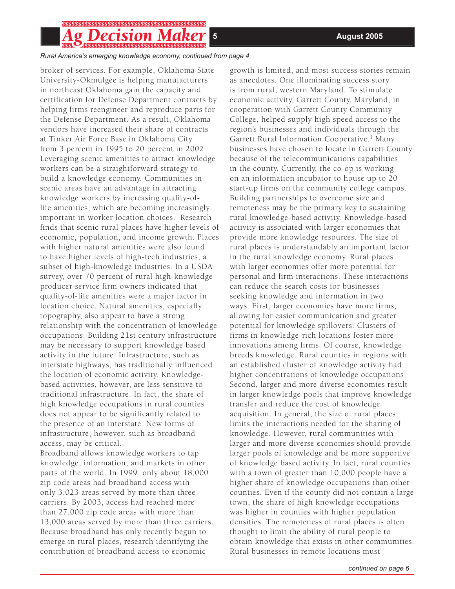# 55555555555555555555555555555555555555

*Rural America's emerging knowledge economy, continued from page 4*

broker of services. For example, Oklahoma State University-Okmulgee is helping manufacturers in northeast Oklahoma gain the capacity and certification for Defense Department contracts by helping firms reengineer and reproduce parts for the Defense Department. As a result, Oklahoma vendors have increased their share of contracts at Tinker Air Force Base in Oklahoma City from 3 percent in 1995 to 20 percent in 2002. Leveraging scenic amenities to attract knowledge workers can be a straightforward strategy to build a knowledge economy. Communities in scenic areas have an advantage in attracting knowledge workers by increasing quality-oflife amenities, which are becoming increasingly important in worker location choices. Research finds that scenic rural places have higher levels of economic, population, and income growth. Places with higher natural amenities were also found to have higher levels of high-tech industries, a subset of high-knowledge industries. In a USDA survey, over 70 percent of rural high-knowledge producer-service firm owners indicated that quality-of-life amenities were a major factor in location choice. Natural amenities, especially topography, also appear to have a strong relationship with the concentration of knowledge occupations. Building 21st century infrastructure may be necessary to support knowledge based activity in the future. Infrastructure, such as interstate highways, has traditionally influenced the location of economic activity. Knowledgebased activities, however, are less sensitive to traditional infrastructure. In fact, the share of high knowledge occupations in rural counties does not appear to be significantly related to the presence of an interstate. New forms of infrastructure, however, such as broadband access, may be critical.

Broadband allows knowledge workers to tap knowledge, information, and markets in other parts of the world. In 1999, only about 18,000 zip code areas had broadband access with only 3,023 areas served by more than three carriers. By 2003, access had reached more than 27,000 zip code areas with more than 13,000 areas served by more than three carriers. Because broadband has only recently begun to emerge in rural places, research identifying the contribution of broadband access to economic

growth is limited, and most success stories remain as anecdotes. One illuminating success story is from rural, western Maryland. To stimulate economic activity, Garrett County, Maryland, in cooperation with Garrett County Community College, helped supply high speed access to the region's businesses and individuals through the Garrett Rural Information Cooperative.<sup>1</sup> Many businesses have chosen to locate in Garrett County because of the telecommunications capabilities in the county. Currently, the co-op is working on an information incubator to house up to 20 start-up firms on the community college campus. Building partnerships to overcome size and remoteness may be the primary key to sustaining rural knowledge-based activity. Knowledge-based activity is associated with larger economies that provide more knowledge resources. The size of rural places is understandably an important factor in the rural knowledge economy. Rural places with larger economies offer more potential for personal and firm interactions. These interactions can reduce the search costs for businesses seeking knowledge and information in two ways. First, larger economies have more firms, allowing for easier communication and greater potential for knowledge spillovers. Clusters of firms in knowledge-rich locations foster more innovations among firms. Of course, knowledge breeds knowledge. Rural counties in regions with an established cluster of knowledge activity had higher concentrations of knowledge occupations. Second, larger and more diverse economies result in larger knowledge pools that improve knowledge transfer and reduce the cost of knowledge acquisition. In general, the size of rural places limits the interactions needed for the sharing of knowledge. However, rural communities with larger and more diverse economies should provide larger pools of knowledge and be more supportive of knowledge based activity. In fact, rural counties with a town of greater than 10,000 people have a higher share of knowledge occupations than other counties. Even if the county did not contain a large town, the share of high knowledge occupations was higher in counties with higher population densities. The remoteness of rural places is often thought to limit the ability of rural people to obtain knowledge that exists in other communities. Rural businesses in remote locations must